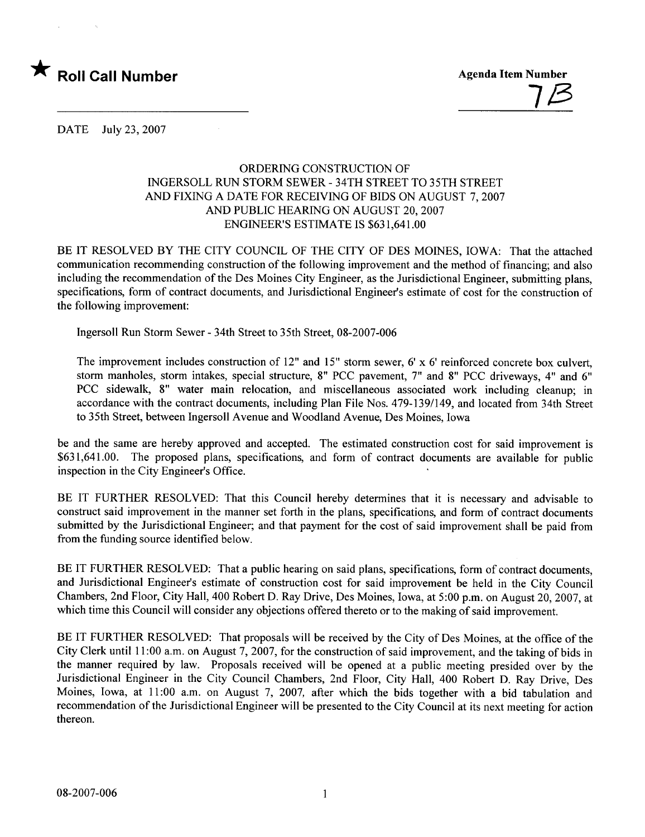

<u>7</u> $\beta$ 

DATE July 23,2007

## ORDERING CONSTRUCTION OF INGERSOLL RUN STORM SEWER - 34TH STREET TO 35TH STREET AND FIXING A DATE FOR RECEIVING OF BIDS ON AUGUST 7,2007 AND PUBLIC HEARING ON AUGUST 20, 2007 ENGINEER'S ESTIMATE IS \$631,641.00

BE IT RESOLVED BY THE CITY COUNCIL OF THE CITY OF DES MOINES, IOWA: That the attached communication recommending construction of the following improvement and the method of financing; and also including the recommendation of the Des Moines City Engineer, as the Jurisdictional Engineer, submitting plans, specifications, form of contract documents, and Jurisdictional Engineer's estimate of cost for the construction of the following improvement:

Ingersoll Run Storm Sewer - 34th Street to 35th Street, 08-2007-006

The improvement includes construction of 12" and 15" storm sewer, 6' x 6' reinforced concrete box culvert, storm manholes, storm intakes, special structure, 8" PCC pavement, 7" and 8" PCC driveways, 4" and 6" PCC sidewalk, 8" water main relocation, and miscellaneous associated work including cleanup; in accordance with the contract documents, including Plan File Nos. 479-139/149, and located from 34th Street to 35th Street, between Ingersoll Avenue and Woodland Avenue, Des Moines, Iowa

be and the same are hereby approved and accepted. The estimated construction cost for said improvement is \$631,641.00. The proposed plans, specifications, and form of contract documents are available for public inspection in the City Engineer's Office.

BE IT FURTHER RESOLVED: That this Council hereby determines that it is necessary and advisable to construct said improvement in the manner set forth in the plans, specifications, and form of contract documents submitted by the Jurisdictional Engineer; and that payment for the cost of said improvement shall be paid from from the funding source identified below.

BE IT FURTHER RESOLVED: That a public hearing on said plans, specifications, form of contract documents, and Jurisdictional Engineer's estimate of construction cost for said improvement be held in the City Council Chambers, 2nd Floor, City Hall, 400 Robert D. Ray Drive, Des Moines, Iowa, at 5:00 p.m. on August 20,2007, at which time this Council will consider any objections offered thereto or to the making of said improvement.

BE IT FURTHER RESOLVED: That proposals will be received by the City of Des Moines, at the office of the City Clerk until 11:00 a.m. on August 7, 2007, for the construction of said improvement, and the taking of bids in the manner required by law. Proposals received will be opened at a public meeting presided over by the Jurisdictional Engineer in the City Council Chambers, 2nd Floor, City Hall, 400 Robert D. Ray Drive, Des Moines, Iowa, at 11:00 a.m. on August 7, 2007, after which the bids together with a bid tabulation and recommendation of the Jurisdictional Engineer will be presented to the City Council at its next meeting for action thereon.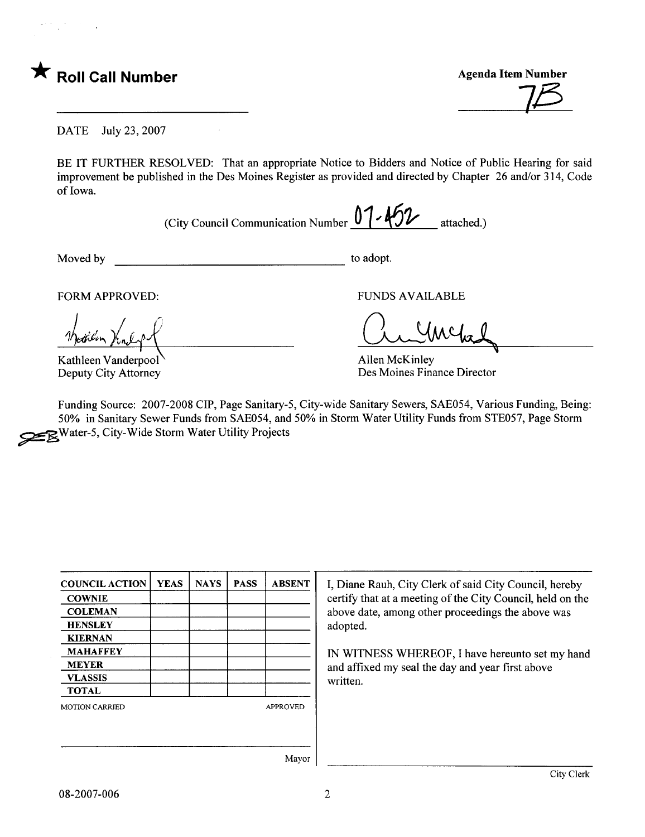$\bigstar$  Roll Call Number  $\bigstar$  Agenda Item Number

 $7/3$ 

DATE July 23, 2007

BE IT FURTHER RESOLVED: That an appropriate Notice to Bidders and Notice of Public Hearing for said improvement be published in the Des Moines Register as provided and directed by Chapter 26 and/or 314, Code of Iowa.

(City Council Communication Number  $0$  /  $40$  / attached.)

Moved by to adopt.

 $\psi_{\alpha\beta}$ 

Kathleen Vanderpool Deputy City Attorney

FORM APPROVED: THE RESERVED FUNDS AVAILABLE

 $U$ MC/

Allen McKinley Des Moines Finance Director

Funding Source: 2007-2008 CIP, Page Sanitary-5, City-wide Sanitary Sewers, SAE054, Various Funding, Being: 50% in Sanitary Sewer Funds from SAE054, and 50% in Storm Water Utility Funds from STE057, Page Storm Water-5, City-Wide Storm Water Utility Projects

| <b>COUNCIL ACTION</b> | <b>YEAS</b> | <b>NAYS</b> | <b>PASS</b> | <b>ABSENT</b>   |
|-----------------------|-------------|-------------|-------------|-----------------|
| <b>COWNIE</b>         |             |             |             |                 |
| <b>COLEMAN</b>        |             |             |             |                 |
| <b>HENSLEY</b>        |             |             |             |                 |
| <b>KIERNAN</b>        |             |             |             |                 |
| <b>MAHAFFEY</b>       |             |             |             |                 |
| <b>MEYER</b>          |             |             |             |                 |
| <b>VLASSIS</b>        |             |             |             |                 |
| <b>TOTAL</b>          |             |             |             |                 |
| <b>MOTION CARRIED</b> |             |             |             | <b>APPROVED</b> |
|                       |             |             |             |                 |
|                       |             |             |             |                 |
|                       |             |             |             |                 |

I, Diane Rauh, City Clerk of said City Council, hereby certify that at a meeting of the City Council, held on the above date, among other proceedings the above was adopted.

IN WITNESS WHEREOF, I have hereunto set my hand and affixed my seal the day and year first above written.

Mayor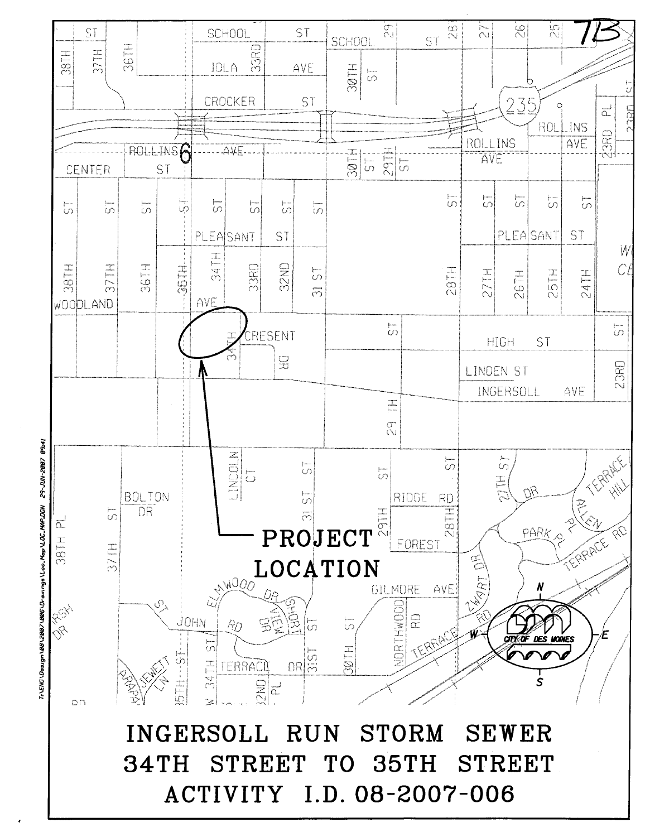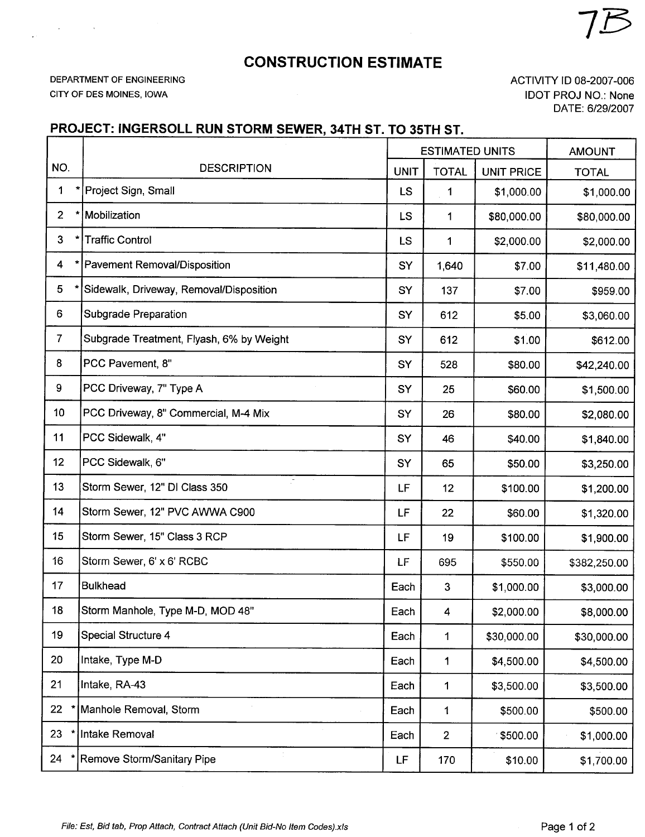## CONSTRUCTION ESTIMATE

DEPARTMENT OF ENGINEERING CITY OF DES MOINES, IOWA

 $\mathcal{A}^{\pm}$ 

ACTIVITY ID 08-2007-006 IDOT PROJ NO.: None DATE: 6/29/2007

## PROJECT: INGERSOLL RUN STORM SEWER, 34TH ST. TO 35TH ST.

|                         |                                          | <b>ESTIMATED UNITS</b> |                | <b>AMOUNT</b>     |              |
|-------------------------|------------------------------------------|------------------------|----------------|-------------------|--------------|
| NO.                     | <b>DESCRIPTION</b>                       | <b>UNIT</b>            | <b>TOTAL</b>   | <b>UNIT PRICE</b> | <b>TOTAL</b> |
| 1                       | Project Sign, Small                      | LS                     | 1              | \$1,000.00        | \$1,000.00   |
| $\overline{2}$          | Mobilization                             | <b>LS</b>              | 1              | \$80,000.00       | \$80,000.00  |
| 3                       | <b>Traffic Control</b>                   | LS                     | 1              | \$2,000.00        | \$2,000.00   |
| $\overline{\mathbf{4}}$ | Pavement Removal/Disposition             | SY                     | 1,640          | \$7.00            | \$11,480.00  |
| 5                       | Sidewalk, Driveway, Removal/Disposition  | SY                     | 137            | \$7.00            | \$959.00     |
| 6                       | Subgrade Preparation                     | SY                     | 612            | \$5.00            | \$3,060.00   |
| $\overline{7}$          | Subgrade Treatment, Flyash, 6% by Weight | SY                     | 612            | \$1.00            | \$612.00     |
| 8                       | PCC Pavement, 8"                         | SY                     | 528            | \$80.00           | \$42,240.00  |
| 9                       | PCC Driveway, 7" Type A                  | SY                     | 25             | \$60.00           | \$1,500.00   |
| 10                      | PCC Driveway, 8" Commercial, M-4 Mix     | SY                     | 26             | \$80.00           | \$2,080.00   |
| 11                      | PCC Sidewalk, 4"                         | SY                     | 46             | \$40.00           | \$1,840.00   |
| 12                      | PCC Sidewalk, 6"                         | SY                     | 65             | \$50.00           | \$3,250.00   |
| 13                      | Р.<br>Storm Sewer, 12" DI Class 350      | LF                     | 12             | \$100.00          | \$1,200.00   |
| 14                      | Storm Sewer, 12" PVC AWWA C900           | LF                     | 22             | \$60.00           | \$1,320.00   |
| 15                      | Storm Sewer, 15" Class 3 RCP             | LF                     | 19             | \$100.00          | \$1,900.00   |
| 16                      | Storm Sewer, 6' x 6' RCBC                | LF                     | 695            | \$550.00          | \$382,250.00 |
| 17                      | <b>Bulkhead</b>                          | Each                   | 3              | \$1,000.00        | \$3,000.00   |
| 18                      | Storm Manhole, Type M-D, MOD 48"         | Each                   | 4              | \$2,000.00        | \$8,000.00   |
| 19                      | Special Structure 4                      | Each                   | 1              | \$30,000.00       | \$30,000.00  |
| 20                      | Intake, Type M-D                         | Each                   | 1              | \$4,500.00        | \$4,500.00   |
| 21                      | Intake, RA-43                            | Each                   | 1              | \$3,500.00        | \$3,500.00   |
| 22                      | Manhole Removal, Storm                   | Each                   | 1              | \$500.00          | \$500.00     |
| 23                      | Intake Removal                           | Each                   | $\overline{2}$ | 9500.00           | \$1,000.00   |
| 24                      | Remove Storm/Sanitary Pipe               | LF                     | 170            | \$10.00           | \$1,700.00   |